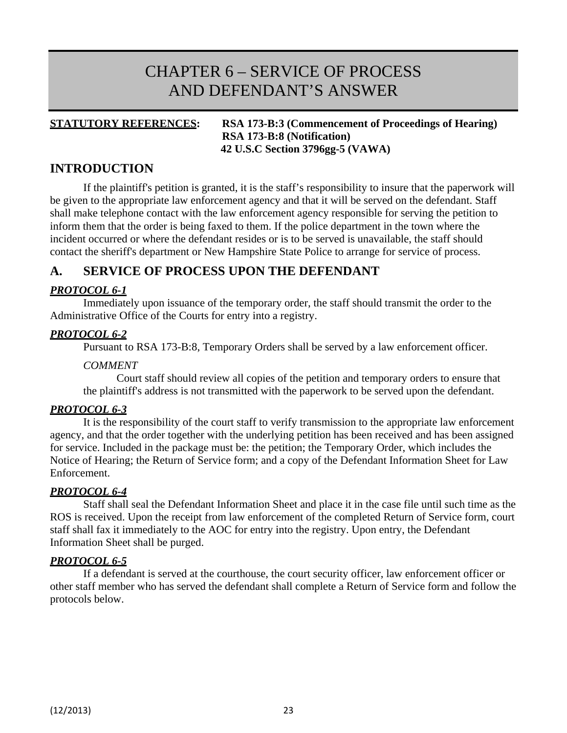# CHAPTER 6 – SERVICE OF PROCESS AND DEFENDANT'S ANSWER

## **STATUTORY REFERENCES: RSA 173-B:3 (Commencement of Proceedings of Hearing) RSA 173-B:8 (Notification) 42 U.S.C Section 3796gg-5 (VAWA)**

# **INTRODUCTION**

If the plaintiff's petition is granted, it is the staff's responsibility to insure that the paperwork will be given to the appropriate law enforcement agency and that it will be served on the defendant. Staff shall make telephone contact with the law enforcement agency responsible for serving the petition to inform them that the order is being faxed to them. If the police department in the town where the incident occurred or where the defendant resides or is to be served is unavailable, the staff should contact the sheriff's department or New Hampshire State Police to arrange for service of process.

# **A. SERVICE OF PROCESS UPON THE DEFENDANT**

# *PROTOCOL 6-1*

Immediately upon issuance of the temporary order, the staff should transmit the order to the Administrative Office of the Courts for entry into a registry.

## *PROTOCOL 6-2*

Pursuant to RSA 173-B:8, Temporary Orders shall be served by a law enforcement officer.

#### *COMMENT*

Court staff should review all copies of the petition and temporary orders to ensure that the plaintiff's address is not transmitted with the paperwork to be served upon the defendant.

## *PROTOCOL 6-3*

It is the responsibility of the court staff to verify transmission to the appropriate law enforcement agency, and that the order together with the underlying petition has been received and has been assigned for service. Included in the package must be: the petition; the Temporary Order, which includes the Notice of Hearing; the Return of Service form; and a copy of the Defendant Information Sheet for Law Enforcement.

## *PROTOCOL 6-4*

Staff shall seal the Defendant Information Sheet and place it in the case file until such time as the ROS is received. Upon the receipt from law enforcement of the completed Return of Service form, court staff shall fax it immediately to the AOC for entry into the registry. Upon entry, the Defendant Information Sheet shall be purged.

## *PROTOCOL 6-5*

If a defendant is served at the courthouse, the court security officer, law enforcement officer or other staff member who has served the defendant shall complete a Return of Service form and follow the protocols below.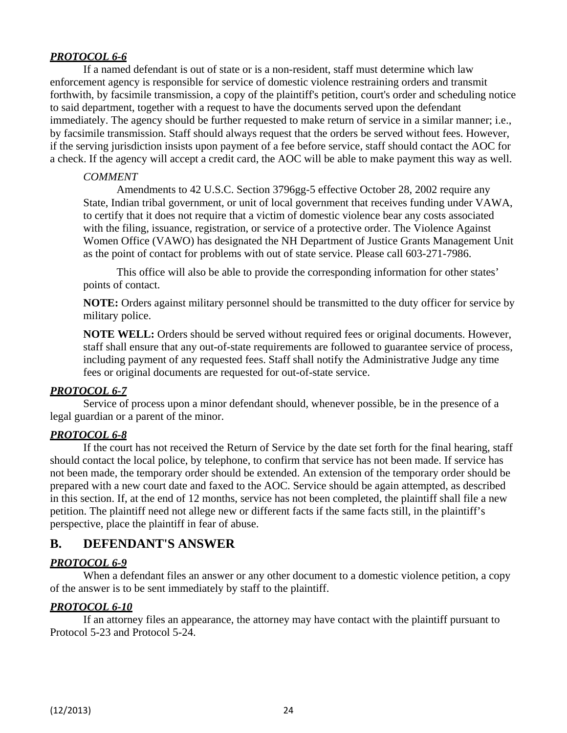# *PROTOCOL 6-6*

If a named defendant is out of state or is a non-resident, staff must determine which law enforcement agency is responsible for service of domestic violence restraining orders and transmit forthwith, by facsimile transmission, a copy of the plaintiff's petition, court's order and scheduling notice to said department, together with a request to have the documents served upon the defendant immediately. The agency should be further requested to make return of service in a similar manner; i.e., by facsimile transmission. Staff should always request that the orders be served without fees. However, if the serving jurisdiction insists upon payment of a fee before service, staff should contact the AOC for a check. If the agency will accept a credit card, the AOC will be able to make payment this way as well.

# *COMMENT*

Amendments to 42 U.S.C. Section 3796gg-5 effective October 28, 2002 require any State, Indian tribal government, or unit of local government that receives funding under VAWA, to certify that it does not require that a victim of domestic violence bear any costs associated with the filing, issuance, registration, or service of a protective order. The Violence Against Women Office (VAWO) has designated the NH Department of Justice Grants Management Unit as the point of contact for problems with out of state service. Please call 603-271-7986.

This office will also be able to provide the corresponding information for other states' points of contact.

**NOTE:** Orders against military personnel should be transmitted to the duty officer for service by military police.

**NOTE WELL:** Orders should be served without required fees or original documents. However, staff shall ensure that any out-of-state requirements are followed to guarantee service of process, including payment of any requested fees. Staff shall notify the Administrative Judge any time fees or original documents are requested for out-of-state service.

# *PROTOCOL 6-7*

Service of process upon a minor defendant should, whenever possible, be in the presence of a legal guardian or a parent of the minor.

# *PROTOCOL 6-8*

If the court has not received the Return of Service by the date set forth for the final hearing, staff should contact the local police, by telephone, to confirm that service has not been made. If service has not been made, the temporary order should be extended. An extension of the temporary order should be prepared with a new court date and faxed to the AOC. Service should be again attempted, as described in this section. If, at the end of 12 months, service has not been completed, the plaintiff shall file a new petition. The plaintiff need not allege new or different facts if the same facts still, in the plaintiff's perspective, place the plaintiff in fear of abuse.

# **B. DEFENDANT'S ANSWER**

# *PROTOCOL 6-9*

When a defendant files an answer or any other document to a domestic violence petition, a copy of the answer is to be sent immediately by staff to the plaintiff.

# *PROTOCOL 6-10*

If an attorney files an appearance, the attorney may have contact with the plaintiff pursuant to Protocol 5-23 and Protocol 5-24.